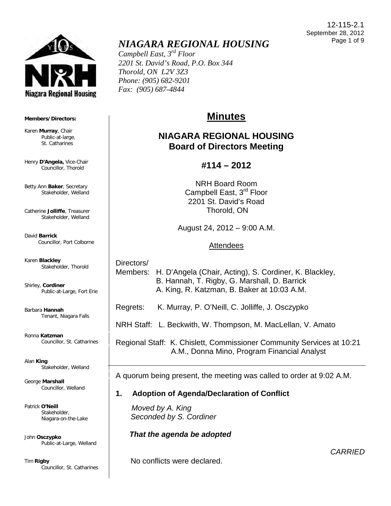

#### **Members/Directors:**

Karen **Murray**, Chair Public-at-large, St. Catharines

Henry **D'Angela,** Vice-Chair Councillor, Thorold

Betty Ann **Baker**, Secretary Stakeholder, Welland

Catherine **Jolliffe**, Treasurer Stakeholder, Welland

David **Barrick** Councillor, Port Colborne

Karen **Blackley** Stakeholder, Thorold

Shirley, **Cordiner** Public-at-Large, Fort Erie

Barbara **Hannah** Tenant, Niagara Falls

Ronna **Katzman** Councillor, St. Catharines

Alan **King** Stakeholder, Welland

George **Marshall** Councillor, Welland

Patrick **O'Neill** Stakeholder, Niagara-on-the-Lake

John **Osczypko** Public-at-Large, Welland

Tim **Rigby** Councillor, St. Catharines

# *NIAGARA REGIONAL HOUSING*

*Campbell East, 3rd Floor 2201 St. David's Road, P.O. Box 344 Thorold, ON L2V 3Z3 Phone: (905) 682-9201 Fax: (905) 687-4844* 

# **Minutes**

# **NIAGARA REGIONAL HOUSING Board of Directors Meeting**

# **#114 – 2012**

NRH Board Room Campbell East, 3<sup>rd</sup> Floor 2201 St. David's Road Thorold, ON

August 24, 2012 – 9:00 A.M.

## Attendees

 Directors/ Members: H. D'Angela (Chair, Acting), S. Cordiner, K. Blackley, B. Hannah, T. Rigby, G. Marshall, D. Barrick A. King, R. Katzman, B. Baker at 10:03 A.M.

Regrets: K. Murray, P. O'Neill, C. Jolliffe, J. Osczypko

NRH Staff: L. Beckwith, W. Thompson, M. MacLellan, V. Amato

 Regional Staff: K. Chislett, Commissioner Community Services at 10:21 A.M., Donna Mino, Program Financial Analyst

A quorum being present, the meeting was called to order at 9:02 A.M.

# **1. Adoption of Agenda/Declaration of Conflict**

 *Moved by A. King Seconded by S. Cordiner*

# *That the agenda be adopted*

No conflicts were declared.

12-115-2.1 September 28, 2012 Page 1 of 9

*CARRIED*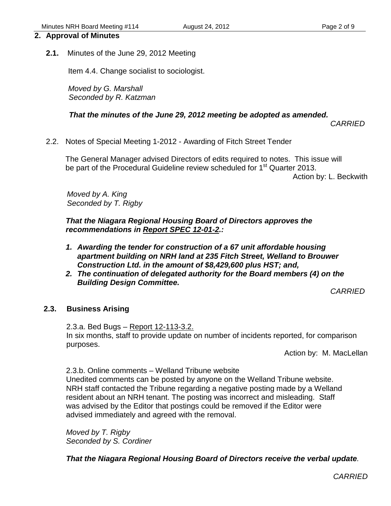#### **2. Approval of Minutes**

**2.1.** Minutes of the June 29, 2012 Meeting

Item 4.4. Change socialist to sociologist.

 *Moved by G. Marshall Seconded by R. Katzman*

#### *That the minutes of the June 29, 2012 meeting be adopted as amended.*

*CARRIED*

2.2. Notes of Special Meeting 1-2012 - Awarding of Fitch Street Tender

 The General Manager advised Directors of edits required to notes. This issue will be part of the Procedural Guideline review scheduled for 1<sup>st</sup> Quarter 2013.

Action by: L. Beckwith

 *Moved by A. King Seconded by T. Rigby*

*That the Niagara Regional Housing Board of Directors approves the recommendations in Report SPEC 12-01-2.:* 

- *1. Awarding the tender for construction of a 67 unit affordable housing apartment building on NRH land at 235 Fitch Street, Welland to Brouwer Construction Ltd. in the amount of \$8,429,600 plus HST; and,*
- *2. The continuation of delegated authority for the Board members (4) on the Building Design Committee.*

*CARRIED*

#### **2.3. Business Arising**

 2.3.a. Bed Bugs – Report 12-113-3.2. In six months, staff to provide update on number of incidents reported, for comparison purposes.

Action by: M. MacLellan

2.3.b. Online comments – Welland Tribune website Unedited comments can be posted by anyone on the Welland Tribune website. NRH staff contacted the Tribune regarding a negative posting made by a Welland resident about an NRH tenant. The posting was incorrect and misleading. Staff was advised by the Editor that postings could be removed if the Editor were advised immediately and agreed with the removal.

*Moved by T. Rigby Seconded by S. Cordiner* 

*That the Niagara Regional Housing Board of Directors receive the verbal update.* 

*CARRIED*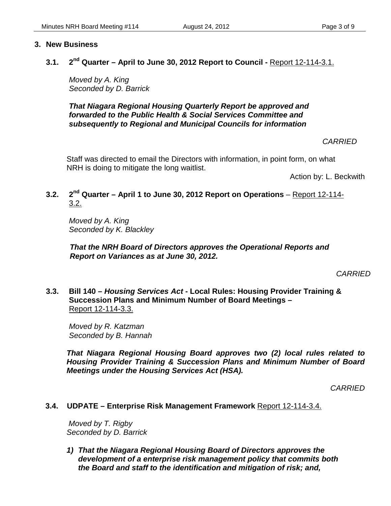#### **3. New Business**

#### **3.1. 2nd Quarter – April to June 30, 2012 Report to Council -** Report 12-114-3.1.

*Moved by A. King Seconded by D. Barrick*

*That Niagara Regional Housing Quarterly Report be approved and forwarded to the Public Health & Social Services Committee and subsequently to Regional and Municipal Councils for information* 

 *CARRIED*

Staff was directed to email the Directors with information, in point form, on what NRH is doing to mitigate the long waitlist.

Action by: L. Beckwith

### **3.2. 2nd Quarter – April 1 to June 30, 2012 Report on Operations** – Report 12-114- 3.2.

 *Moved by A. King Seconded by K. Blackley*

*That the NRH Board of Directors approves the Operational Reports and Report on Variances as at June 30, 2012.*

*CARRIED*

**3.3. Bill 140 –** *Housing Services Act* **- Local Rules: Housing Provider Training & Succession Plans and Minimum Number of Board Meetings –**  Report 12-114-3.3.

*Moved by R. Katzman Seconded by B. Hannah*

*That Niagara Regional Housing Board approves two (2) local rules related to Housing Provider Training & Succession Plans and Minimum Number of Board Meetings under the Housing Services Act (HSA).* 

*CARRIED*

#### **3.4. UDPATE – Enterprise Risk Management Framework** Report 12-114-3.4.

 *Moved by T. Rigby Seconded by D. Barrick*

*1) That the Niagara Regional Housing Board of Directors approves the development of a enterprise risk management policy that commits both the Board and staff to the identification and mitigation of risk; and,*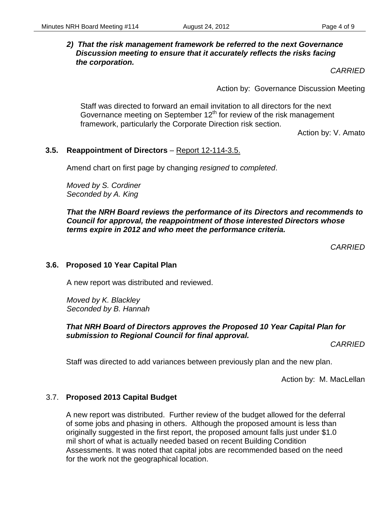#### *2) That the risk management framework be referred to the next Governance Discussion meeting to ensure that it accurately reflects the risks facing the corporation.*

*CARRIED*

Action by: Governance Discussion Meeting

Staff was directed to forward an email invitation to all directors for the next Governance meeting on September  $12<sup>th</sup>$  for review of the risk management framework, particularly the Corporate Direction risk section.

Action by: V. Amato

#### **3.5. Reappointment of Directors** – Report 12-114-3.5.

Amend chart on first page by changing *resigned* to *completed*.

*Moved by S. Cordiner Seconded by A. King*

*That the NRH Board reviews the performance of its Directors and recommends to Council for approval, the reappointment of those interested Directors whose terms expire in 2012 and who meet the performance criteria.* 

 *CARRIED*

#### **3.6. Proposed 10 Year Capital Plan**

A new report was distributed and reviewed.

*Moved by K. Blackley Seconded by B. Hannah*

#### *That NRH Board of Directors approves the Proposed 10 Year Capital Plan for submission to Regional Council for final approval.*

*CARRIED*

Staff was directed to add variances between previously plan and the new plan.

Action by: M. MacLellan

#### 3.7. **Proposed 2013 Capital Budget**

A new report was distributed. Further review of the budget allowed for the deferral of some jobs and phasing in others. Although the proposed amount is less than originally suggested in the first report, the proposed amount falls just under \$1.0 mil short of what is actually needed based on recent Building Condition Assessments. It was noted that capital jobs are recommended based on the need for the work not the geographical location.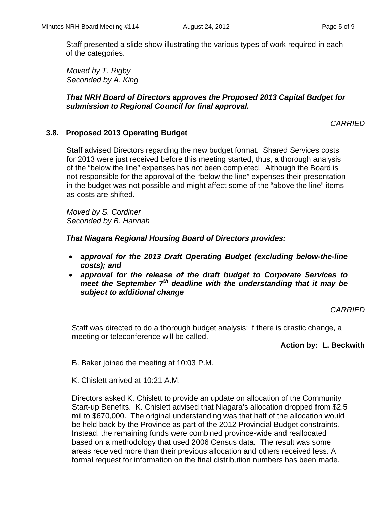Staff presented a slide show illustrating the various types of work required in each of the categories.

*Moved by T. Rigby Seconded by A. King*

#### *That NRH Board of Directors approves the Proposed 2013 Capital Budget for submission to Regional Council for final approval.*

*CARRIED*

#### **3.8. Proposed 2013 Operating Budget**

Staff advised Directors regarding the new budget format. Shared Services costs for 2013 were just received before this meeting started, thus, a thorough analysis of the "below the line" expenses has not been completed. Although the Board is not responsible for the approval of the "below the line" expenses their presentation in the budget was not possible and might affect some of the "above the line" items as costs are shifted.

*Moved by S. Cordiner Seconded by B. Hannah*

*That Niagara Regional Housing Board of Directors provides:*

- *approval for the 2013 Draft Operating Budget (excluding below-the-line costs); and*
- *approval for the release of the draft budget to Corporate Services to meet the September 7th deadline with the understanding that it may be subject to additional change*

*CARRIED*

Staff was directed to do a thorough budget analysis; if there is drastic change, a meeting or teleconference will be called.

**Action by: L. Beckwith**

- B. Baker joined the meeting at 10:03 P.M.
- K. Chislett arrived at 10:21 A.M.

Directors asked K. Chislett to provide an update on allocation of the Community Start-up Benefits. K. Chislett advised that Niagara's allocation dropped from \$2.5 mil to \$670,000. The original understanding was that half of the allocation would be held back by the Province as part of the 2012 Provincial Budget constraints. Instead, the remaining funds were combined province-wide and reallocated based on a methodology that used 2006 Census data. The result was some areas received more than their previous allocation and others received less. A formal request for information on the final distribution numbers has been made.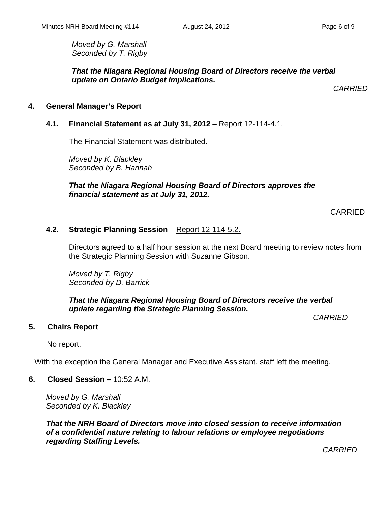*Moved by G. Marshall Seconded by T. Rigby*

*That the Niagara Regional Housing Board of Directors receive the verbal update on Ontario Budget Implications.*

*CARRIED*

#### **4. General Manager's Report**

#### **4.1. Financial Statement as at July 31, 2012** – Report 12-114-4.1.

The Financial Statement was distributed.

*Moved by K. Blackley Seconded by B. Hannah*

*That the Niagara Regional Housing Board of Directors approves the financial statement as at July 31, 2012.*

CARRIED

#### **4.2. Strategic Planning Session** – Report 12-114-5.2.

Directors agreed to a half hour session at the next Board meeting to review notes from the Strategic Planning Session with Suzanne Gibson.

*Moved by T. Rigby Seconded by D. Barrick*

*That the Niagara Regional Housing Board of Directors receive the verbal update regarding the Strategic Planning Session.*

*CARRIED*

#### **5. Chairs Report**

No report.

With the exception the General Manager and Executive Assistant, staff left the meeting.

**6. Closed Session –** 10:52 A.M.

*Moved by G. Marshall Seconded by K. Blackley*

*That the NRH Board of Directors move into closed session to receive information of a confidential nature relating to labour relations or employee negotiations regarding Staffing Levels.* 

 *CARRIED*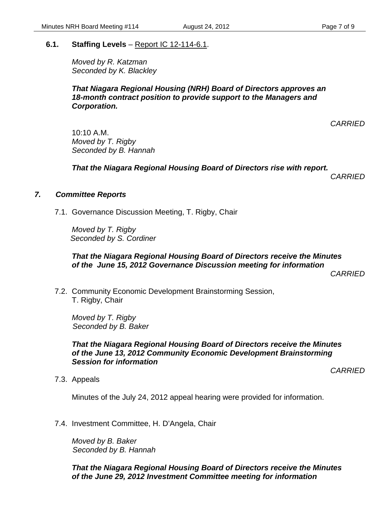#### **6.1. Staffing Levels** – Report IC 12-114-6.1.

*Moved by R. Katzman Seconded by K. Blackley*

#### *That Niagara Regional Housing (NRH) Board of Directors approves an 18-month contract position to provide support to the Managers and Corporation.*

*CARRIED*

10:10 A.M. *Moved by T. Rigby Seconded by B. Hannah*

*That the Niagara Regional Housing Board of Directors rise with report.*

 *CARRIED*

#### *7. Committee Reports*

7.1. Governance Discussion Meeting, T. Rigby, Chair

*Moved by T. Rigby Seconded by S. Cordiner*

#### *That the Niagara Regional Housing Board of Directors receive the Minutes of the June 15, 2012 Governance Discussion meeting for information*

*CARRIED*

7.2. Community Economic Development Brainstorming Session, T. Rigby, Chair

*Moved by T. Rigby Seconded by B. Baker*

#### *That the Niagara Regional Housing Board of Directors receive the Minutes of the June 13, 2012 Community Economic Development Brainstorming Session for information*

*CARRIED*

7.3. Appeals

Minutes of the July 24, 2012 appeal hearing were provided for information.

7.4. Investment Committee, H. D'Angela, Chair

*Moved by B. Baker Seconded by B. Hannah*

*That the Niagara Regional Housing Board of Directors receive the Minutes of the June 29, 2012 Investment Committee meeting for information*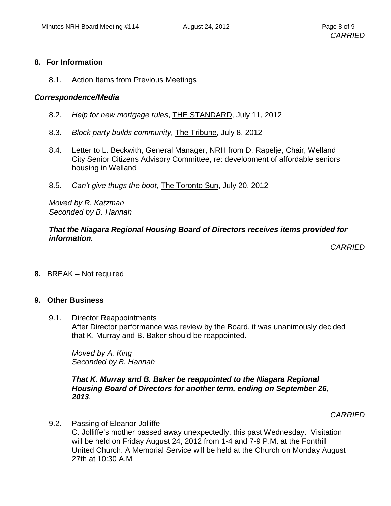#### **8. For Information**

8.1. Action Items from Previous Meetings

#### *Correspondence/Media*

- 8.2. *Help for new mortgage rules*, THE STANDARD, July 11, 2012
- 8.3. *Block party builds community,* The Tribune, July 8, 2012
- 8.4. Letter to L. Beckwith, General Manager, NRH from D. Rapelje, Chair, Welland City Senior Citizens Advisory Committee, re: development of affordable seniors housing in Welland
- 8.5. *Can't give thugs the boot*, The Toronto Sun, July 20, 2012

*Moved by R. Katzman Seconded by B. Hannah*

#### *That the Niagara Regional Housing Board of Directors receives items provided for information.*

*CARRIED*

**8.** BREAK – Not required

#### **9. Other Business**

9.1. Director Reappointments After Director performance was review by the Board, it was unanimously decided that K. Murray and B. Baker should be reappointed.

*Moved by A. King Seconded by B. Hannah*

*That K. Murray and B. Baker be reappointed to the Niagara Regional Housing Board of Directors for another term, ending on September 26, 2013.* 

*CARRIED*

9.2. Passing of Eleanor Jolliffe C. Jolliffe's mother passed away unexpectedly, this past Wednesday. Visitation will be held on Friday August 24, 2012 from 1-4 and 7-9 P.M. at the Fonthill United Church. A Memorial Service will be held at the Church on Monday August 27th at 10:30 A.M